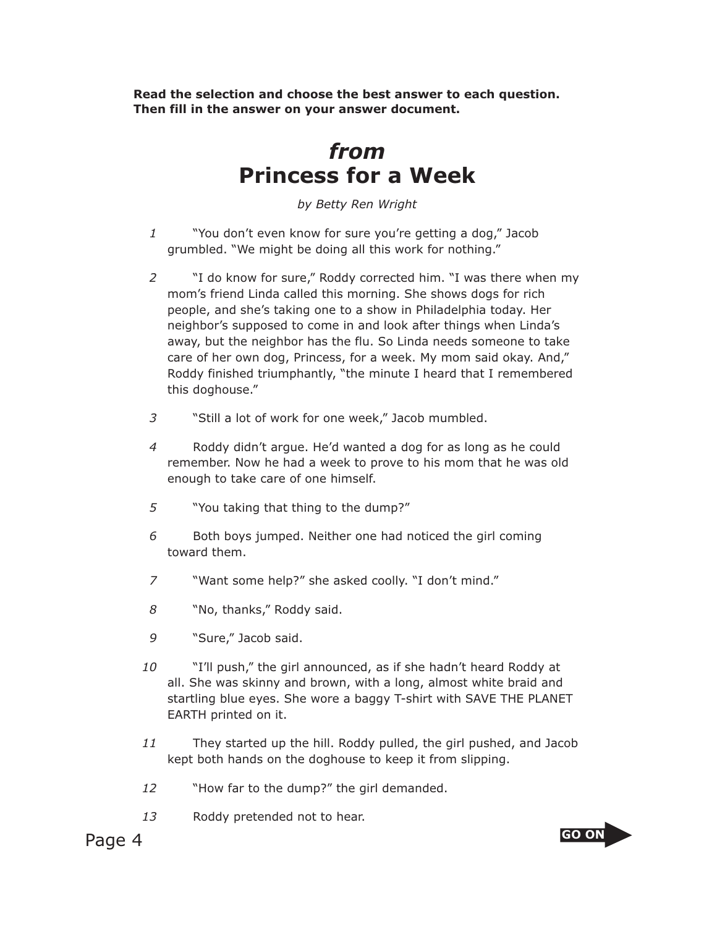**Read the selection and choose the best answer to each question. Then fill in the answer on your answer document.**

## *from* **Princess for a Week**

*by Betty Ren Wright*

- *1* "You don't even know for sure you're getting a dog," Jacob grumbled. "We might be doing all this work for nothing."
- *2* "I do know for sure," Roddy corrected him. "I was there when my mom's friend Linda called this morning. She shows dogs for rich people, and she's taking one to a show in Philadelphia today. Her neighbor's supposed to come in and look after things when Linda's away, but the neighbor has the flu. So Linda needs someone to take care of her own dog, Princess, for a week. My mom said okay. And," Roddy finished triumphantly, "the minute I heard that I remembered this doghouse."
- *3* "Still a lot of work for one week," Jacob mumbled.
- *4* Roddy didn't argue. He'd wanted a dog for as long as he could remember. Now he had a week to prove to his mom that he was old enough to take care of one himself.
- *5* "You taking that thing to the dump?"
- *6* Both boys jumped. Neither one had noticed the girl coming toward them.
- *7* "Want some help?" she asked coolly. "I don't mind."
- *8* "No, thanks," Roddy said.
- *9* "Sure," Jacob said.
- *10* "I'll push," the girl announced, as if she hadn't heard Roddy at all. She was skinny and brown, with a long, almost white braid and startling blue eyes. She wore a baggy T-shirt with SAVE THE PLANET EARTH printed on it.
- *11* They started up the hill. Roddy pulled, the girl pushed, and Jacob kept both hands on the doghouse to keep it from slipping.
- *12* "How far to the dump?" the girl demanded.
- *13* Roddy pretended not to hear.

Page 4 **GO ON** 

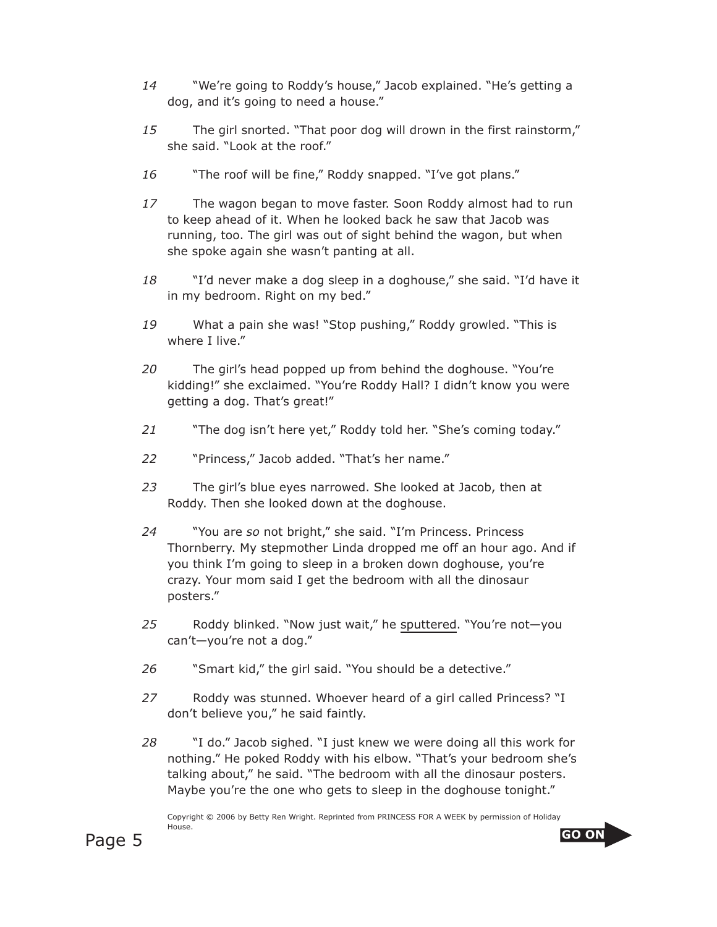- *14* "We're going to Roddy's house," Jacob explained. "He's getting a dog, and it's going to need a house."
- *15* The girl snorted. "That poor dog will drown in the first rainstorm," she said. "Look at the roof."
- *16* "The roof will be fine," Roddy snapped. "I've got plans."
- *17* The wagon began to move faster. Soon Roddy almost had to run to keep ahead of it. When he looked back he saw that Jacob was running, too. The girl was out of sight behind the wagon, but when she spoke again she wasn't panting at all.
- *18* "I'd never make a dog sleep in a doghouse," she said. "I'd have it in my bedroom. Right on my bed."
- *19* What a pain she was! "Stop pushing," Roddy growled. "This is where I live."
- *20* The girl's head popped up from behind the doghouse. "You're kidding!" she exclaimed. "You're Roddy Hall? I didn't know you were getting a dog. That's great!"
- *21* "The dog isn't here yet," Roddy told her. "She's coming today."
- *22* "Princess," Jacob added. "That's her name."
- *23* The girl's blue eyes narrowed. She looked at Jacob, then at Roddy. Then she looked down at the doghouse.
- *24* "You are *so* not bright," she said. "I'm Princess. Princess Thornberry. My stepmother Linda dropped me off an hour ago. And if you think I'm going to sleep in a broken down doghouse, you're crazy. Your mom said I get the bedroom with all the dinosaur posters."
- *25* Roddy blinked. "Now just wait," he sputtered. "You're not—you can't—you're not a dog."
- *26* "Smart kid," the girl said. "You should be a detective."
- *27* Roddy was stunned. Whoever heard of a girl called Princess? "I don't believe you," he said faintly.
- *28* "I do." Jacob sighed. "I just knew we were doing all this work for nothing." He poked Roddy with his elbow. "That's your bedroom she's talking about," he said. "The bedroom with all the dinosaur posters. Maybe you're the one who gets to sleep in the doghouse tonight."

Copyright © 2006 by Betty Ren Wright. Reprinted from PRINCESS FOR A WEEK by permission of Holiday House.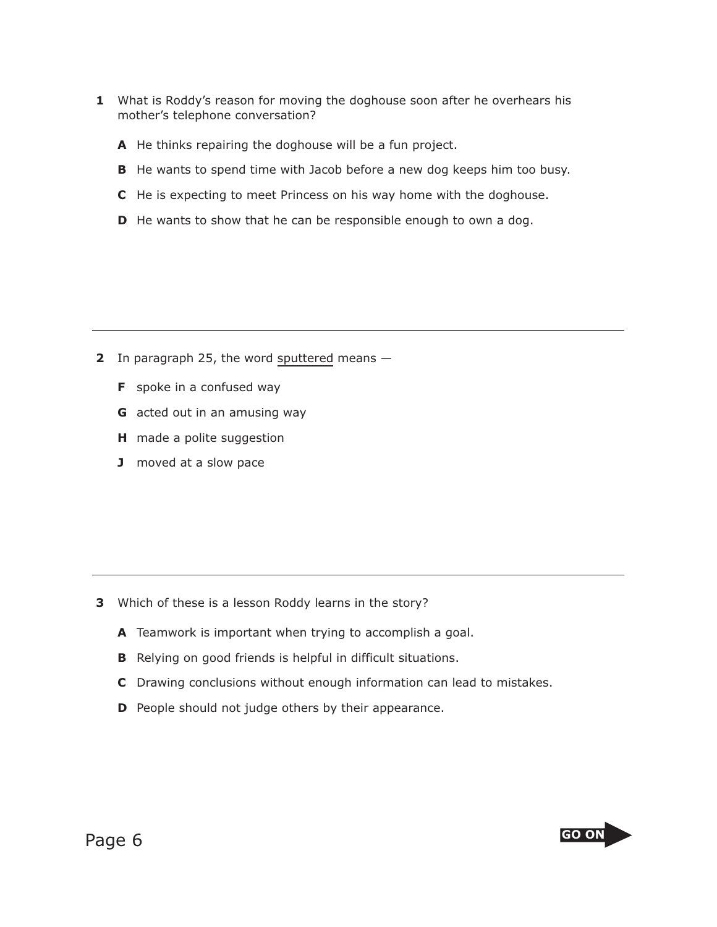- **1** What is Roddy's reason for moving the doghouse soon after he overhears his mother's telephone conversation?
	- **A** He thinks repairing the doghouse will be a fun project.
	- **B** He wants to spend time with Jacob before a new dog keeps him too busy.
	- **C** He is expecting to meet Princess on his way home with the doghouse.
	- **D** He wants to show that he can be responsible enough to own a dog.

- **2** In paragraph 25, the word sputtered means
	- **F** spoke in a confused way
	- **G** acted out in an amusing way
	- **H** made a polite suggestion
	- **J** moved at a slow pace

- **3** Which of these is a lesson Roddy learns in the story?
	- **A** Teamwork is important when trying to accomplish a goal.
	- **B** Relying on good friends is helpful in difficult situations.
	- **C** Drawing conclusions without enough information can lead to mistakes.
	- **D** People should not judge others by their appearance.

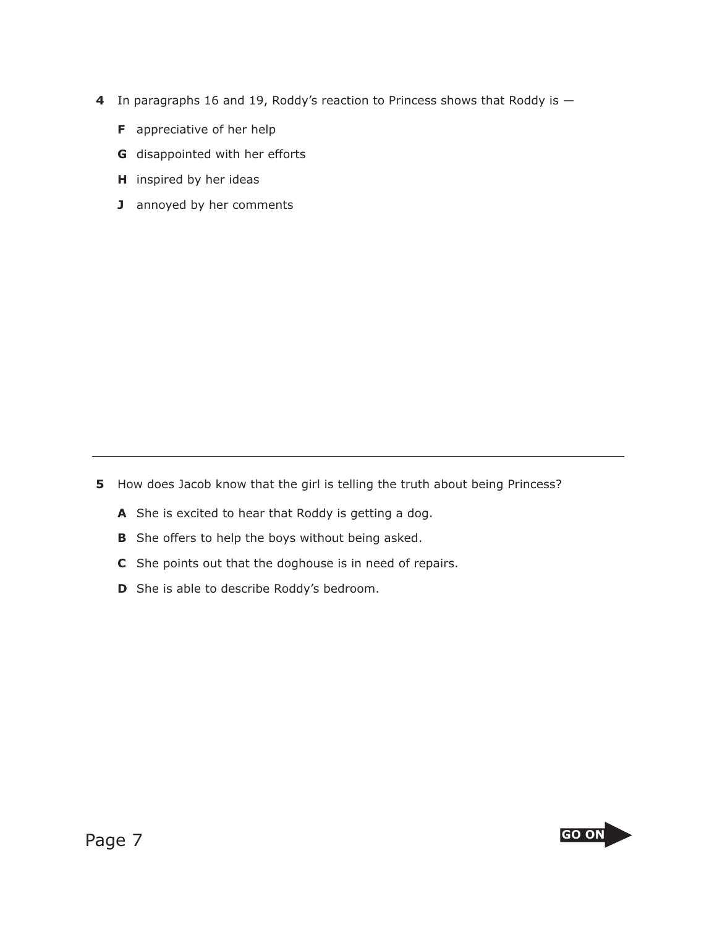- **4** In paragraphs 16 and 19, Roddy's reaction to Princess shows that Roddy is
	- **F** appreciative of her help
	- **G** disappointed with her efforts
	- **H** inspired by her ideas
	- **J** annoyed by her comments

**5** How does Jacob know that the girl is telling the truth about being Princess?

- **A** She is excited to hear that Roddy is getting a dog.
- **B** She offers to help the boys without being asked.
- **C** She points out that the doghouse is in need of repairs.
- **D** She is able to describe Roddy's bedroom.

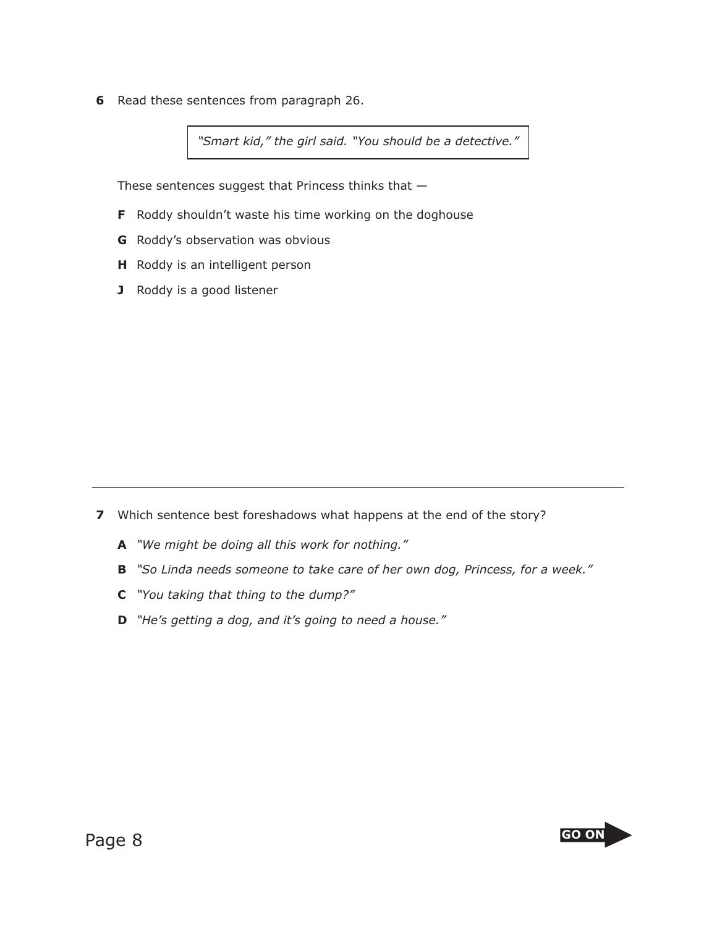**6** Read these sentences from paragraph 26.

*"Smart kid," the girl said. "You should be a detective."*

These sentences suggest that Princess thinks that —

- **F** Roddy shouldn't waste his time working on the doghouse
- **G** Roddy's observation was obvious
- **H** Roddy is an intelligent person
- **J** Roddy is a good listener

- **7** Which sentence best foreshadows what happens at the end of the story?
	- **A** *"We might be doing all this work for nothing."*
	- **B** *"So Linda needs someone to take care of her own dog, Princess, for a week."*
	- **C** *"You taking that thing to the dump?"*
	- **D** *"He's getting a dog, and it's going to need a house."*